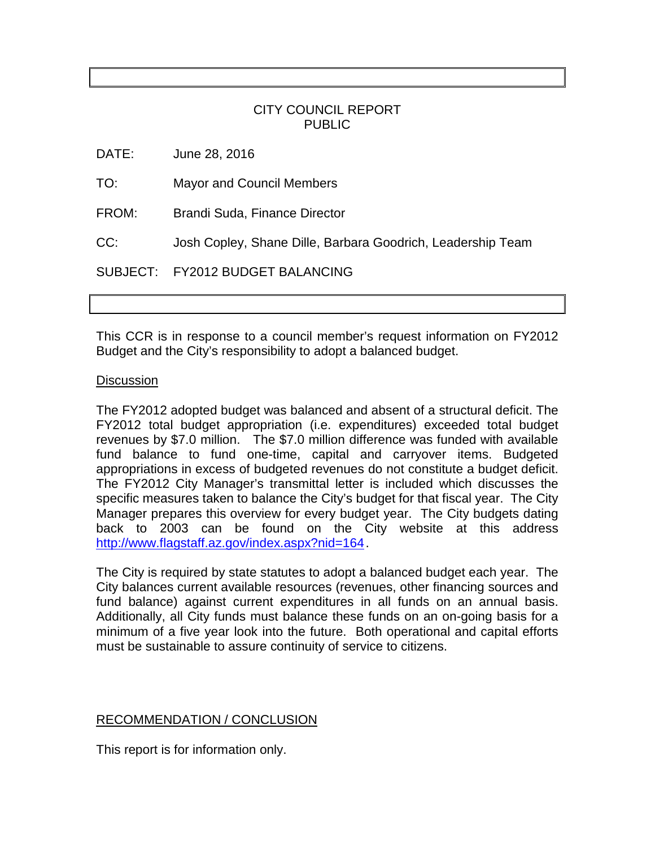## CITY COUNCIL REPORT PUBLIC

DATE: June 28, 2016

TO: Mayor and Council Members

FROM: Brandi Suda, Finance Director

CC: Josh Copley, Shane Dille, Barbara Goodrich, Leadership Team

SUBJECT: FY2012 BUDGET BALANCING

This CCR is in response to a council member's request information on FY2012 Budget and the City's responsibility to adopt a balanced budget.

## **Discussion**

The FY2012 adopted budget was balanced and absent of a structural deficit. The FY2012 total budget appropriation (i.e. expenditures) exceeded total budget revenues by \$7.0 million. The \$7.0 million difference was funded with available fund balance to fund one-time, capital and carryover items. Budgeted appropriations in excess of budgeted revenues do not constitute a budget deficit. The FY2012 City Manager's transmittal letter is included which discusses the specific measures taken to balance the City's budget for that fiscal year. The City Manager prepares this overview for every budget year. The City budgets dating back to 2003 can be found on the City website at this address [http://www.flagstaff.az.gov/index.aspx?nid=164.](http://www.flagstaff.az.gov/index.aspx?nid=164)

The City is required by state statutes to adopt a balanced budget each year. The City balances current available resources (revenues, other financing sources and fund balance) against current expenditures in all funds on an annual basis. Additionally, all City funds must balance these funds on an on-going basis for a minimum of a five year look into the future. Both operational and capital efforts must be sustainable to assure continuity of service to citizens.

## RECOMMENDATION / CONCLUSION

This report is for information only.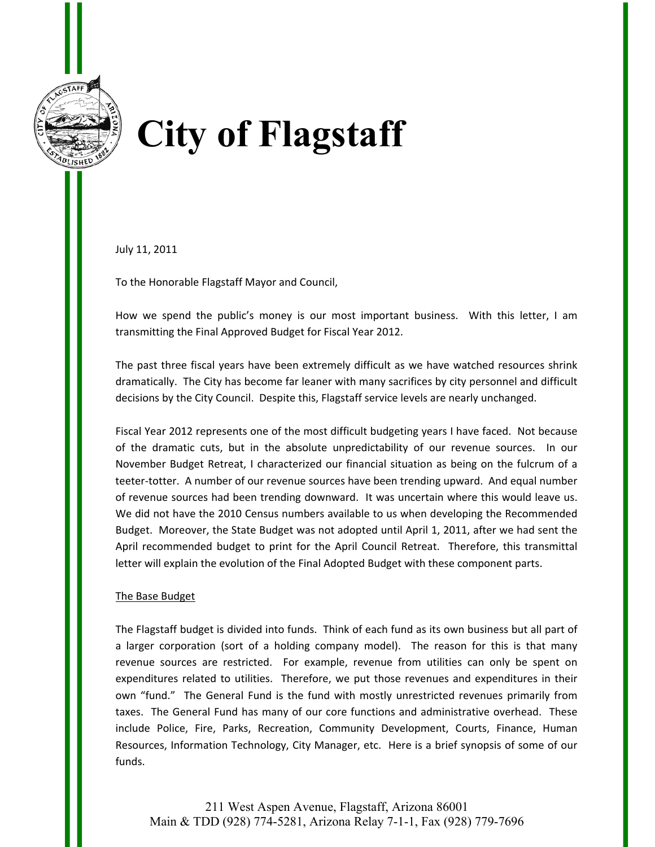

# **City of Flagstaff**

July 11, 2011

To the Honorable Flagstaff Mayor and Council,

How we spend the public's money is our most important business. With this letter, I am transmitting the Final Approved Budget for Fiscal Year 2012.

The past three fiscal years have been extremely difficult as we have watched resources shrink dramatically. The City has become far leaner with many sacrifices by city personnel and difficult decisions by the City Council. Despite this, Flagstaff service levels are nearly unchanged.

Fiscal Year 2012 represents one of the most difficult budgeting years I have faced. Not because of the dramatic cuts, but in the absolute unpredictability of our revenue sources. In our November Budget Retreat, I characterized our financial situation as being on the fulcrum of a teeter-totter. A number of our revenue sources have been trending upward. And equal number of revenue sources had been trending downward. It was uncertain where this would leave us. We did not have the 2010 Census numbers available to us when developing the Recommended Budget. Moreover, the State Budget was not adopted until April 1, 2011, after we had sent the April recommended budget to print for the April Council Retreat. Therefore, this transmittal letter will explain the evolution of the Final Adopted Budget with these component parts.

#### The Base Budget

The Flagstaff budget is divided into funds. Think of each fund as its own business but all part of a larger corporation (sort of a holding company model). The reason for this is that many revenue sources are restricted. For example, revenue from utilities can only be spent on expenditures related to utilities. Therefore, we put those revenues and expenditures in their own "fund." The General Fund is the fund with mostly unrestricted revenues primarily from taxes. The General Fund has many of our core functions and administrative overhead. These include Police, Fire, Parks, Recreation, Community Development, Courts, Finance, Human Resources, Information Technology, City Manager, etc. Here is a brief synopsis of some of our funds.

211 West Aspen Avenue, Flagstaff, Arizona 86001 Main & TDD (928) 774-5281, Arizona Relay 7-1-1, Fax (928) 779-7696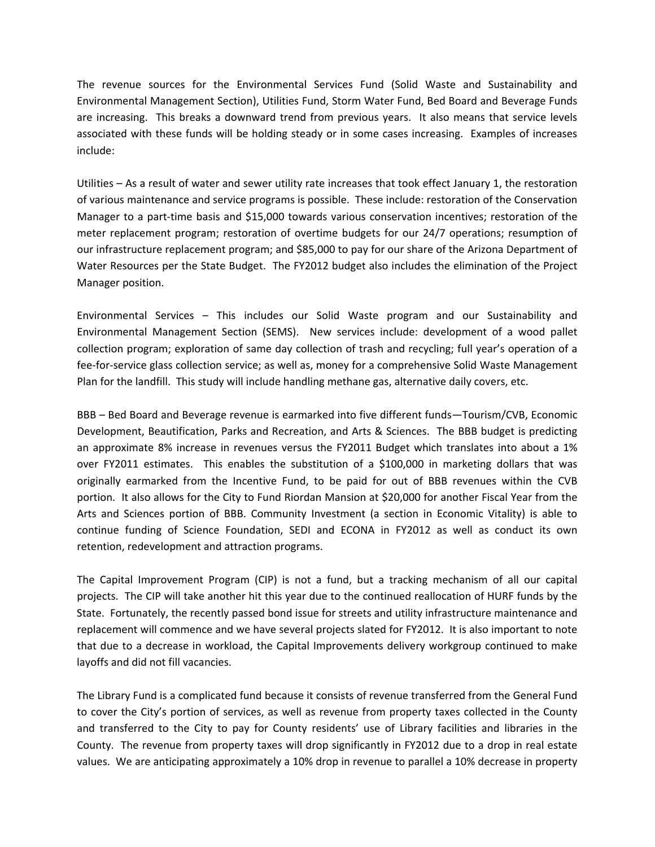The revenue sources for the Environmental Services Fund (Solid Waste and Sustainability and Environmental Management Section), Utilities Fund, Storm Water Fund, Bed Board and Beverage Funds are increasing. This breaks a downward trend from previous years. It also means that service levels associated with these funds will be holding steady or in some cases increasing. Examples of increases include:

Utilities – As a result of water and sewer utility rate increases that took effect January 1, the restoration of various maintenance and service programs is possible. These include: restoration of the Conservation Manager to a part-time basis and \$15,000 towards various conservation incentives; restoration of the meter replacement program; restoration of overtime budgets for our 24/7 operations; resumption of our infrastructure replacement program; and \$85,000 to pay for our share of the Arizona Department of Water Resources per the State Budget. The FY2012 budget also includes the elimination of the Project Manager position.

Environmental Services – This includes our Solid Waste program and our Sustainability and Environmental Management Section (SEMS). New services include: development of a wood pallet collection program; exploration of same day collection of trash and recycling; full year's operation of a fee-for-service glass collection service; as well as, money for a comprehensive Solid Waste Management Plan for the landfill. This study will include handling methane gas, alternative daily covers, etc.

BBB – Bed Board and Beverage revenue is earmarked into five different funds—Tourism/CVB, Economic Development, Beautification, Parks and Recreation, and Arts & Sciences. The BBB budget is predicting an approximate 8% increase in revenues versus the FY2011 Budget which translates into about a 1% over FY2011 estimates. This enables the substitution of a \$100,000 in marketing dollars that was originally earmarked from the Incentive Fund, to be paid for out of BBB revenues within the CVB portion. It also allows for the City to Fund Riordan Mansion at \$20,000 for another Fiscal Year from the Arts and Sciences portion of BBB. Community Investment (a section in Economic Vitality) is able to continue funding of Science Foundation, SEDI and ECONA in FY2012 as well as conduct its own retention, redevelopment and attraction programs.

The Capital Improvement Program (CIP) is not a fund, but a tracking mechanism of all our capital projects. The CIP will take another hit this year due to the continued reallocation of HURF funds by the State. Fortunately, the recently passed bond issue for streets and utility infrastructure maintenance and replacement will commence and we have several projects slated for FY2012. It is also important to note that due to a decrease in workload, the Capital Improvements delivery workgroup continued to make layoffs and did not fill vacancies.

The Library Fund is a complicated fund because it consists of revenue transferred from the General Fund to cover the City's portion of services, as well as revenue from property taxes collected in the County and transferred to the City to pay for County residents' use of Library facilities and libraries in the County. The revenue from property taxes will drop significantly in FY2012 due to a drop in real estate values. We are anticipating approximately a 10% drop in revenue to parallel a 10% decrease in property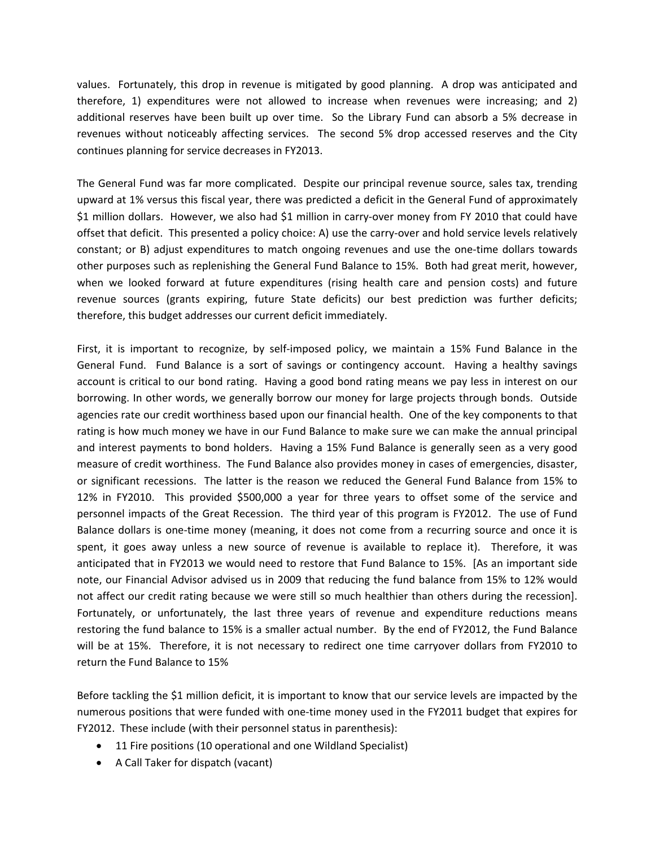values. Fortunately, this drop in revenue is mitigated by good planning. A drop was anticipated and therefore, 1) expenditures were not allowed to increase when revenues were increasing; and 2) additional reserves have been built up over time. So the Library Fund can absorb a 5% decrease in revenues without noticeably affecting services. The second 5% drop accessed reserves and the City continues planning for service decreases in FY2013.

The General Fund was far more complicated. Despite our principal revenue source, sales tax, trending upward at 1% versus this fiscal year, there was predicted a deficit in the General Fund of approximately \$1 million dollars. However, we also had \$1 million in carry-over money from FY 2010 that could have offset that deficit. This presented a policy choice: A) use the carry‐over and hold service levels relatively constant; or B) adjust expenditures to match ongoing revenues and use the one‐time dollars towards other purposes such as replenishing the General Fund Balance to 15%. Both had great merit, however, when we looked forward at future expenditures (rising health care and pension costs) and future revenue sources (grants expiring, future State deficits) our best prediction was further deficits; therefore, this budget addresses our current deficit immediately.

First, it is important to recognize, by self-imposed policy, we maintain a 15% Fund Balance in the General Fund. Fund Balance is a sort of savings or contingency account. Having a healthy savings account is critical to our bond rating. Having a good bond rating means we pay less in interest on our borrowing. In other words, we generally borrow our money for large projects through bonds. Outside agencies rate our credit worthiness based upon our financial health. One of the key components to that rating is how much money we have in our Fund Balance to make sure we can make the annual principal and interest payments to bond holders. Having a 15% Fund Balance is generally seen as a very good measure of credit worthiness. The Fund Balance also provides money in cases of emergencies, disaster, or significant recessions. The latter is the reason we reduced the General Fund Balance from 15% to 12% in FY2010. This provided \$500,000 a year for three years to offset some of the service and personnel impacts of the Great Recession. The third year of this program is FY2012. The use of Fund Balance dollars is one-time money (meaning, it does not come from a recurring source and once it is spent, it goes away unless a new source of revenue is available to replace it). Therefore, it was anticipated that in FY2013 we would need to restore that Fund Balance to 15%. [As an important side note, our Financial Advisor advised us in 2009 that reducing the fund balance from 15% to 12% would not affect our credit rating because we were still so much healthier than others during the recession]. Fortunately, or unfortunately, the last three years of revenue and expenditure reductions means restoring the fund balance to 15% is a smaller actual number. By the end of FY2012, the Fund Balance will be at 15%. Therefore, it is not necessary to redirect one time carryover dollars from FY2010 to return the Fund Balance to 15%

Before tackling the \$1 million deficit, it is important to know that our service levels are impacted by the numerous positions that were funded with one‐time money used in the FY2011 budget that expires for FY2012. These include (with their personnel status in parenthesis):

- 11 Fire positions (10 operational and one Wildland Specialist)
- A Call Taker for dispatch (vacant)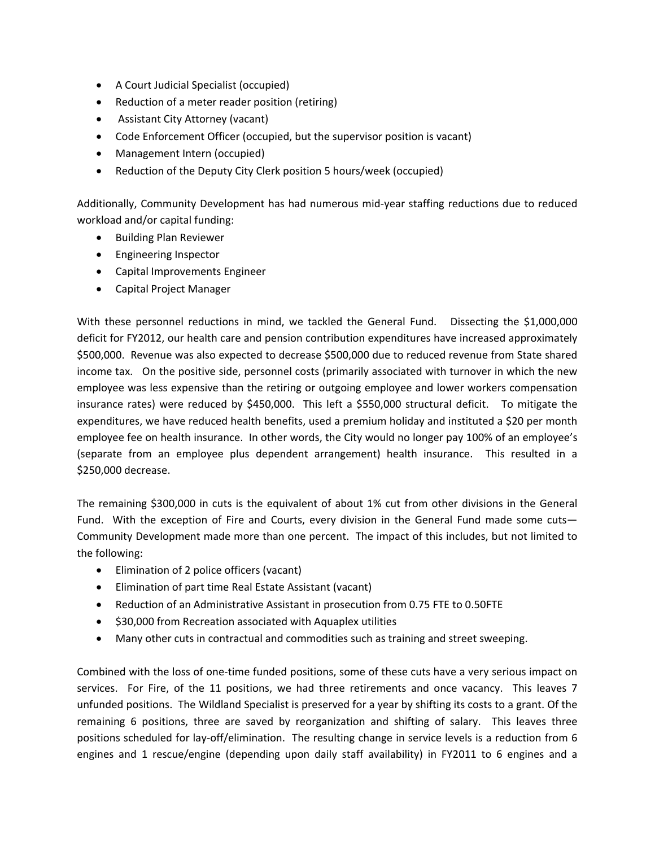- A Court Judicial Specialist (occupied)
- Reduction of a meter reader position (retiring)
- Assistant City Attorney (vacant)
- Code Enforcement Officer (occupied, but the supervisor position is vacant)
- Management Intern (occupied)
- Reduction of the Deputy City Clerk position 5 hours/week (occupied)

Additionally, Community Development has had numerous mid‐year staffing reductions due to reduced workload and/or capital funding:

- Building Plan Reviewer
- Engineering Inspector
- Capital Improvements Engineer
- Capital Project Manager

With these personnel reductions in mind, we tackled the General Fund. Dissecting the \$1,000,000 deficit for FY2012, our health care and pension contribution expenditures have increased approximately \$500,000. Revenue was also expected to decrease \$500,000 due to reduced revenue from State shared income tax. On the positive side, personnel costs (primarily associated with turnover in which the new employee was less expensive than the retiring or outgoing employee and lower workers compensation insurance rates) were reduced by \$450,000. This left a \$550,000 structural deficit. To mitigate the expenditures, we have reduced health benefits, used a premium holiday and instituted a \$20 per month employee fee on health insurance. In other words, the City would no longer pay 100% of an employee's (separate from an employee plus dependent arrangement) health insurance. This resulted in a \$250,000 decrease.

The remaining \$300,000 in cuts is the equivalent of about 1% cut from other divisions in the General Fund. With the exception of Fire and Courts, every division in the General Fund made some cuts— Community Development made more than one percent. The impact of this includes, but not limited to the following:

- Elimination of 2 police officers (vacant)
- Elimination of part time Real Estate Assistant (vacant)
- Reduction of an Administrative Assistant in prosecution from 0.75 FTE to 0.50FTE
- $\bullet$  \$30,000 from Recreation associated with Aquaplex utilities
- Many other cuts in contractual and commodities such as training and street sweeping.

Combined with the loss of one‐time funded positions, some of these cuts have a very serious impact on services. For Fire, of the 11 positions, we had three retirements and once vacancy. This leaves 7 unfunded positions. The Wildland Specialist is preserved for a year by shifting its costs to a grant. Of the remaining 6 positions, three are saved by reorganization and shifting of salary. This leaves three positions scheduled for lay‐off/elimination. The resulting change in service levels is a reduction from 6 engines and 1 rescue/engine (depending upon daily staff availability) in FY2011 to 6 engines and a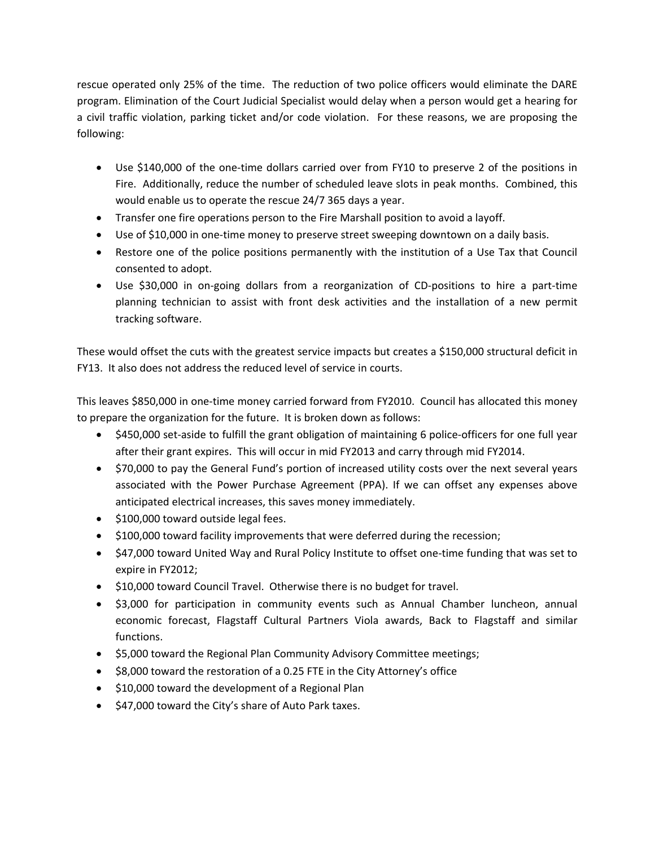rescue operated only 25% of the time. The reduction of two police officers would eliminate the DARE program. Elimination of the Court Judicial Specialist would delay when a person would get a hearing for a civil traffic violation, parking ticket and/or code violation. For these reasons, we are proposing the following:

- Use \$140,000 of the one-time dollars carried over from FY10 to preserve 2 of the positions in Fire. Additionally, reduce the number of scheduled leave slots in peak months. Combined, this would enable us to operate the rescue 24/7 365 days a year.
- Transfer one fire operations person to the Fire Marshall position to avoid a layoff.
- Use of \$10,000 in one-time money to preserve street sweeping downtown on a daily basis.
- Restore one of the police positions permanently with the institution of a Use Tax that Council consented to adopt.
- Use \$30,000 in on-going dollars from a reorganization of CD-positions to hire a part-time planning technician to assist with front desk activities and the installation of a new permit tracking software.

These would offset the cuts with the greatest service impacts but creates a \$150,000 structural deficit in FY13. It also does not address the reduced level of service in courts.

This leaves \$850,000 in one‐time money carried forward from FY2010. Council has allocated this money to prepare the organization for the future. It is broken down as follows:

- \$450,000 set-aside to fulfill the grant obligation of maintaining 6 police-officers for one full year after their grant expires. This will occur in mid FY2013 and carry through mid FY2014.
- \$70,000 to pay the General Fund's portion of increased utility costs over the next several years associated with the Power Purchase Agreement (PPA). If we can offset any expenses above anticipated electrical increases, this saves money immediately.
- $\bullet$  \$100,000 toward outside legal fees.
- \$100,000 toward facility improvements that were deferred during the recession;
- \$47,000 toward United Way and Rural Policy Institute to offset one-time funding that was set to expire in FY2012;
- \$10,000 toward Council Travel. Otherwise there is no budget for travel.
- \$3,000 for participation in community events such as Annual Chamber luncheon, annual economic forecast, Flagstaff Cultural Partners Viola awards, Back to Flagstaff and similar functions.
- \$5,000 toward the Regional Plan Community Advisory Committee meetings;
- \$8,000 toward the restoration of a 0.25 FTE in the City Attorney's office
- $\bullet$  \$10,000 toward the development of a Regional Plan
- $\bullet$  \$47,000 toward the City's share of Auto Park taxes.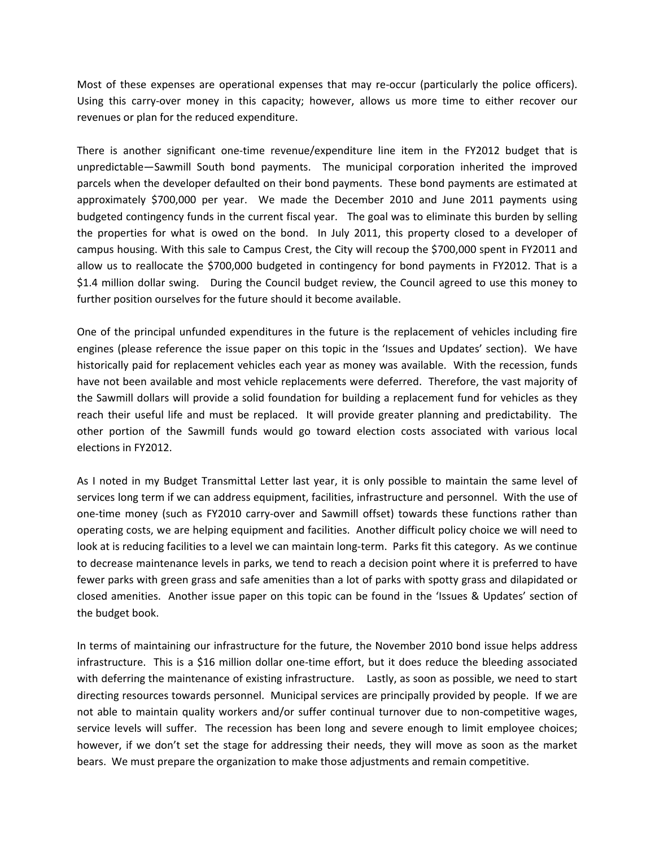Most of these expenses are operational expenses that may re-occur (particularly the police officers). Using this carry‐over money in this capacity; however, allows us more time to either recover our revenues or plan for the reduced expenditure.

There is another significant one‐time revenue/expenditure line item in the FY2012 budget that is unpredictable—Sawmill South bond payments. The municipal corporation inherited the improved parcels when the developer defaulted on their bond payments. These bond payments are estimated at approximately \$700,000 per year. We made the December 2010 and June 2011 payments using budgeted contingency funds in the current fiscal year. The goal was to eliminate this burden by selling the properties for what is owed on the bond. In July 2011, this property closed to a developer of campus housing. With this sale to Campus Crest, the City will recoup the \$700,000 spent in FY2011 and allow us to reallocate the \$700,000 budgeted in contingency for bond payments in FY2012. That is a \$1.4 million dollar swing. During the Council budget review, the Council agreed to use this money to further position ourselves for the future should it become available.

One of the principal unfunded expenditures in the future is the replacement of vehicles including fire engines (please reference the issue paper on this topic in the 'Issues and Updates' section). We have historically paid for replacement vehicles each year as money was available. With the recession, funds have not been available and most vehicle replacements were deferred. Therefore, the vast majority of the Sawmill dollars will provide a solid foundation for building a replacement fund for vehicles as they reach their useful life and must be replaced. It will provide greater planning and predictability. The other portion of the Sawmill funds would go toward election costs associated with various local elections in FY2012.

As I noted in my Budget Transmittal Letter last year, it is only possible to maintain the same level of services long term if we can address equipment, facilities, infrastructure and personnel. With the use of one‐time money (such as FY2010 carry‐over and Sawmill offset) towards these functions rather than operating costs, we are helping equipment and facilities. Another difficult policy choice we will need to look at is reducing facilities to a level we can maintain long-term. Parks fit this category. As we continue to decrease maintenance levels in parks, we tend to reach a decision point where it is preferred to have fewer parks with green grass and safe amenities than a lot of parks with spotty grass and dilapidated or closed amenities. Another issue paper on this topic can be found in the 'Issues & Updates' section of the budget book.

In terms of maintaining our infrastructure for the future, the November 2010 bond issue helps address infrastructure. This is a \$16 million dollar one‐time effort, but it does reduce the bleeding associated with deferring the maintenance of existing infrastructure. Lastly, as soon as possible, we need to start directing resources towards personnel. Municipal services are principally provided by people. If we are not able to maintain quality workers and/or suffer continual turnover due to non-competitive wages, service levels will suffer. The recession has been long and severe enough to limit employee choices; however, if we don't set the stage for addressing their needs, they will move as soon as the market bears. We must prepare the organization to make those adjustments and remain competitive.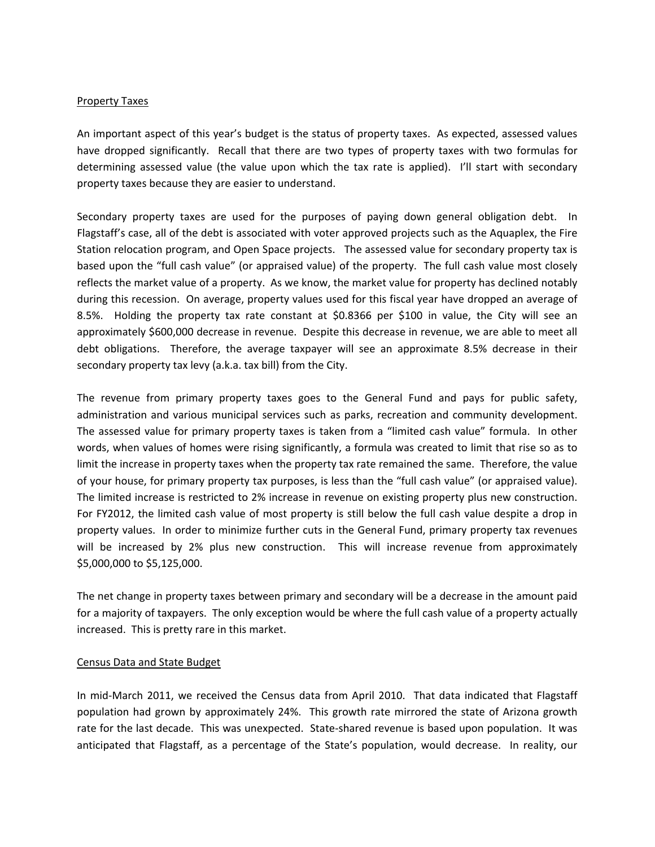#### Property Taxes

An important aspect of this year's budget is the status of property taxes. As expected, assessed values have dropped significantly. Recall that there are two types of property taxes with two formulas for determining assessed value (the value upon which the tax rate is applied). I'll start with secondary property taxes because they are easier to understand.

Secondary property taxes are used for the purposes of paying down general obligation debt. In Flagstaff's case, all of the debt is associated with voter approved projects such as the Aquaplex, the Fire Station relocation program, and Open Space projects. The assessed value for secondary property tax is based upon the "full cash value" (or appraised value) of the property. The full cash value most closely reflects the market value of a property. As we know, the market value for property has declined notably during this recession. On average, property values used for this fiscal year have dropped an average of 8.5%. Holding the property tax rate constant at \$0.8366 per \$100 in value, the City will see an approximately \$600,000 decrease in revenue. Despite this decrease in revenue, we are able to meet all debt obligations. Therefore, the average taxpayer will see an approximate 8.5% decrease in their secondary property tax levy (a.k.a. tax bill) from the City.

The revenue from primary property taxes goes to the General Fund and pays for public safety, administration and various municipal services such as parks, recreation and community development. The assessed value for primary property taxes is taken from a "limited cash value" formula. In other words, when values of homes were rising significantly, a formula was created to limit that rise so as to limit the increase in property taxes when the property tax rate remained the same. Therefore, the value of your house, for primary property tax purposes, is less than the "full cash value" (or appraised value). The limited increase is restricted to 2% increase in revenue on existing property plus new construction. For FY2012, the limited cash value of most property is still below the full cash value despite a drop in property values. In order to minimize further cuts in the General Fund, primary property tax revenues will be increased by 2% plus new construction. This will increase revenue from approximately \$5,000,000 to \$5,125,000.

The net change in property taxes between primary and secondary will be a decrease in the amount paid for a majority of taxpayers. The only exception would be where the full cash value of a property actually increased. This is pretty rare in this market.

#### Census Data and State Budget

In mid-March 2011, we received the Census data from April 2010. That data indicated that Flagstaff population had grown by approximately 24%. This growth rate mirrored the state of Arizona growth rate for the last decade. This was unexpected. State-shared revenue is based upon population. It was anticipated that Flagstaff, as a percentage of the State's population, would decrease. In reality, our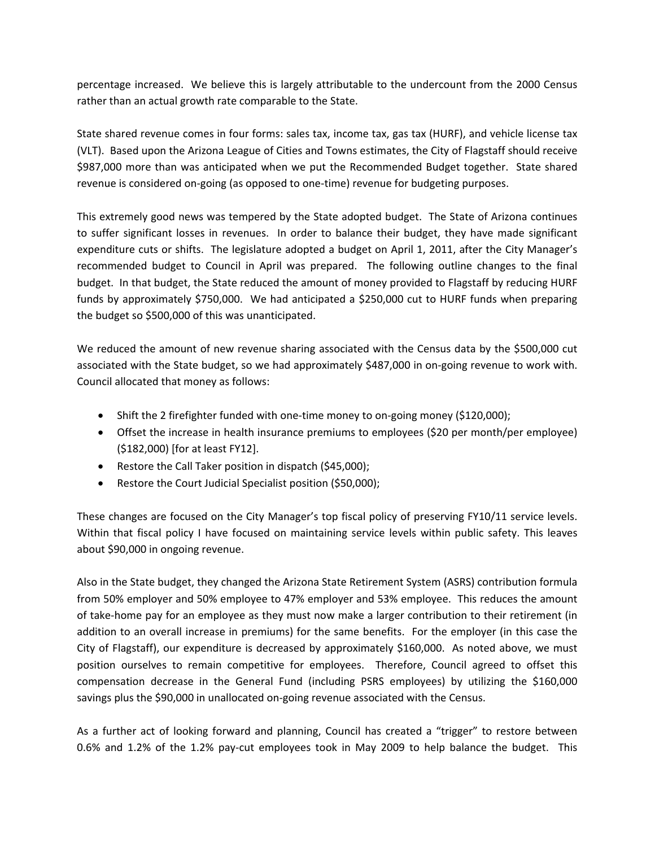percentage increased. We believe this is largely attributable to the undercount from the 2000 Census rather than an actual growth rate comparable to the State.

State shared revenue comes in four forms: sales tax, income tax, gas tax (HURF), and vehicle license tax (VLT). Based upon the Arizona League of Cities and Towns estimates, the City of Flagstaff should receive \$987,000 more than was anticipated when we put the Recommended Budget together. State shared revenue is considered on‐going (as opposed to one‐time) revenue for budgeting purposes.

This extremely good news was tempered by the State adopted budget. The State of Arizona continues to suffer significant losses in revenues. In order to balance their budget, they have made significant expenditure cuts or shifts. The legislature adopted a budget on April 1, 2011, after the City Manager's recommended budget to Council in April was prepared. The following outline changes to the final budget. In that budget, the State reduced the amount of money provided to Flagstaff by reducing HURF funds by approximately \$750,000. We had anticipated a \$250,000 cut to HURF funds when preparing the budget so \$500,000 of this was unanticipated.

We reduced the amount of new revenue sharing associated with the Census data by the \$500,000 cut associated with the State budget, so we had approximately \$487,000 in on‐going revenue to work with. Council allocated that money as follows:

- Shift the 2 firefighter funded with one‐time money to on‐going money (\$120,000);
- Offset the increase in health insurance premiums to employees (\$20 per month/per employee) (\$182,000) [for at least FY12].
- Restore the Call Taker position in dispatch (\$45,000);
- Restore the Court Judicial Specialist position (\$50,000);

These changes are focused on the City Manager's top fiscal policy of preserving FY10/11 service levels. Within that fiscal policy I have focused on maintaining service levels within public safety. This leaves about \$90,000 in ongoing revenue.

Also in the State budget, they changed the Arizona State Retirement System (ASRS) contribution formula from 50% employer and 50% employee to 47% employer and 53% employee. This reduces the amount of take‐home pay for an employee as they must now make a larger contribution to their retirement (in addition to an overall increase in premiums) for the same benefits. For the employer (in this case the City of Flagstaff), our expenditure is decreased by approximately \$160,000. As noted above, we must position ourselves to remain competitive for employees. Therefore, Council agreed to offset this compensation decrease in the General Fund (including PSRS employees) by utilizing the \$160,000 savings plus the \$90,000 in unallocated on‐going revenue associated with the Census.

As a further act of looking forward and planning, Council has created a "trigger" to restore between 0.6% and 1.2% of the 1.2% pay-cut employees took in May 2009 to help balance the budget. This